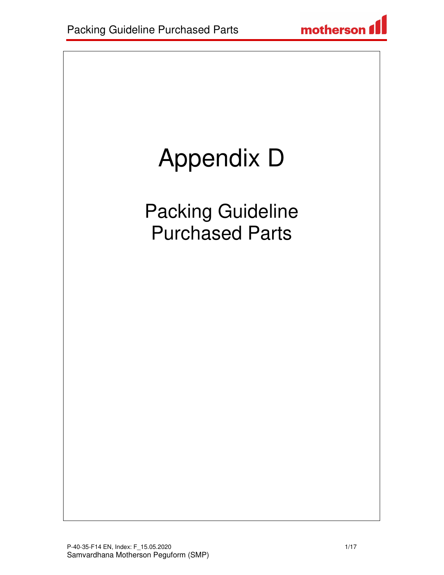# Appendix D

Packing Guideline Purchased Parts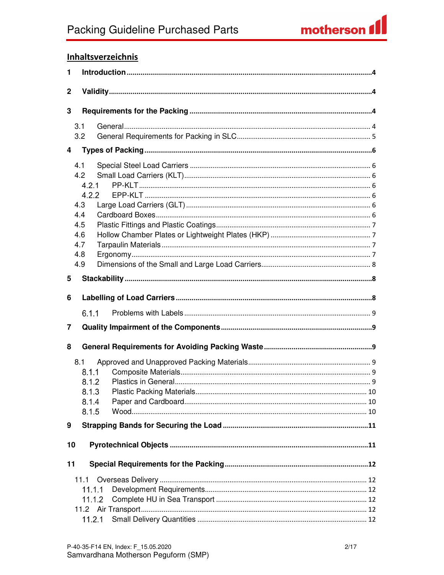#### **Inhaltsverzeichnis**

| 1            |                                                                               |  |  |  |
|--------------|-------------------------------------------------------------------------------|--|--|--|
| $\mathbf{2}$ |                                                                               |  |  |  |
| 3            |                                                                               |  |  |  |
|              | 3.1<br>3.2                                                                    |  |  |  |
| 4            |                                                                               |  |  |  |
|              | 4.1<br>4.2<br>4.2.1<br>4.2.2<br>4.3<br>4.4<br>4.5<br>4.6<br>4.7<br>4.8<br>4.9 |  |  |  |
| 5            |                                                                               |  |  |  |
| 6<br>7       | 6.1.1                                                                         |  |  |  |
| 8            |                                                                               |  |  |  |
|              | 8.1<br>8.1.1<br>8.1.2<br>8.1.3<br>8.1.4<br>8.1.5                              |  |  |  |
| 9            |                                                                               |  |  |  |
| 10           |                                                                               |  |  |  |
| 11           | 11.1.1<br>11.1.2                                                              |  |  |  |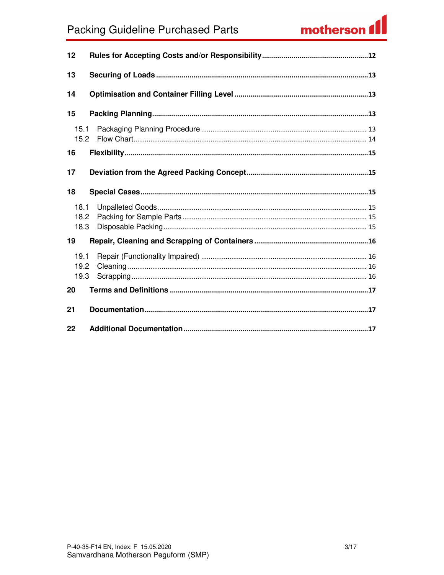### **Packing Guideline Purchased Parts**

## motherson f

| 12                   |  |
|----------------------|--|
| 13                   |  |
| 14                   |  |
| 15                   |  |
| 15.1<br>15.2         |  |
| 16                   |  |
| 17                   |  |
| 18                   |  |
| 18.1<br>18.2<br>18.3 |  |
| 19                   |  |
| 19.1<br>19.2<br>19.3 |  |
| 20                   |  |
| 21                   |  |
| 22                   |  |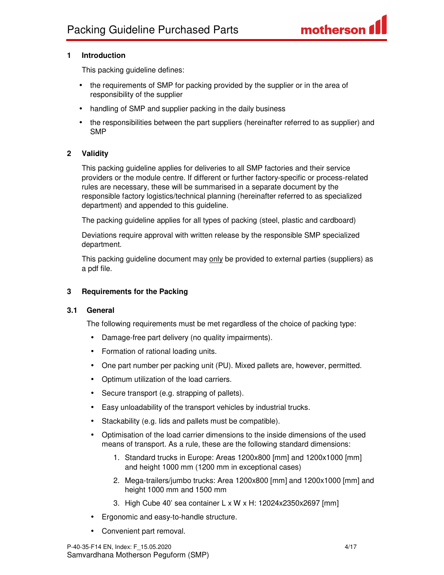#### **1 Introduction**

This packing guideline defines:

- the requirements of SMP for packing provided by the supplier or in the area of responsibility of the supplier
- handling of SMP and supplier packing in the daily business
- the responsibilities between the part suppliers (hereinafter referred to as supplier) and SMP

#### **2 Validity**

This packing guideline applies for deliveries to all SMP factories and their service providers or the module centre. If different or further factory-specific or process-related rules are necessary, these will be summarised in a separate document by the responsible factory logistics/technical planning (hereinafter referred to as specialized department) and appended to this guideline.

The packing guideline applies for all types of packing (steel, plastic and cardboard)

Deviations require approval with written release by the responsible SMP specialized department.

This packing guideline document may only be provided to external parties (suppliers) as a pdf file.

#### **3 Requirements for the Packing**

#### **3.1 General**

The following requirements must be met regardless of the choice of packing type:

- Damage-free part delivery (no quality impairments).
- Formation of rational loading units.
- One part number per packing unit (PU). Mixed pallets are, however, permitted.
- Optimum utilization of the load carriers.
- Secure transport (e.g. strapping of pallets).
- Easy unloadability of the transport vehicles by industrial trucks.
- Stackability (e.g. lids and pallets must be compatible).
- Optimisation of the load carrier dimensions to the inside dimensions of the used means of transport. As a rule, these are the following standard dimensions:
	- 1. Standard trucks in Europe: Areas 1200x800 [mm] and 1200x1000 [mm] and height 1000 mm (1200 mm in exceptional cases)
	- 2. Mega-trailers/jumbo trucks: Area 1200x800 [mm] and 1200x1000 [mm] and height 1000 mm and 1500 mm
	- 3. High Cube 40' sea container L x W x H: 12024x2350x2697 [mm]
- Ergonomic and easy-to-handle structure.
- Convenient part removal.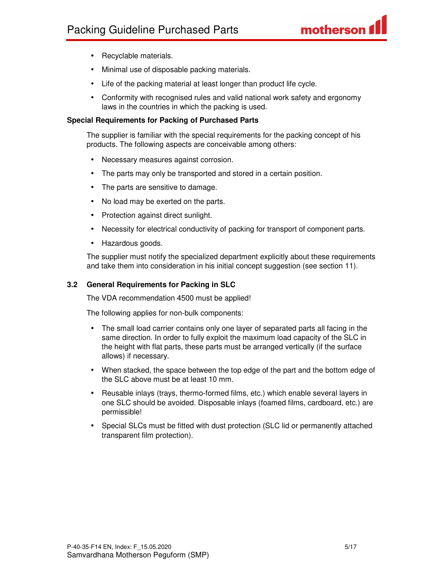- Recyclable materials.
- Minimal use of disposable packing materials.
- Life of the packing material at least longer than product life cycle.
- Conformity with recognised rules and valid national work safety and ergonomy laws in the countries in which the packing is used.

#### **Special Requirements for Packing of Purchased Parts**

The supplier is familiar with the special requirements for the packing concept of his products. The following aspects are conceivable among others:

- Necessary measures against corrosion.
- The parts may only be transported and stored in a certain position.
- The parts are sensitive to damage.
- No load may be exerted on the parts.
- Protection against direct sunlight.
- Necessity for electrical conductivity of packing for transport of component parts.
- Hazardous goods.

The supplier must notify the specialized department explicitly about these requirements and take them into consideration in his initial concept suggestion (see section 11).

#### **3.2 General Requirements for Packing in SLC**

The VDA recommendation 4500 must be applied!

The following applies for non-bulk components:

- The small load carrier contains only one layer of separated parts all facing in the same direction. In order to fully exploit the maximum load capacity of the SLC in the height with flat parts, these parts must be arranged vertically (if the surface allows) if necessary.
- When stacked, the space between the top edge of the part and the bottom edge of the SLC above must be at least 10 mm.
- Reusable inlays (trays, thermo-formed films, etc.) which enable several layers in one SLC should be avoided. Disposable inlays (foamed films, cardboard, etc.) are permissible!
- Special SLCs must be fitted with dust protection (SLC lid or permanently attached transparent film protection).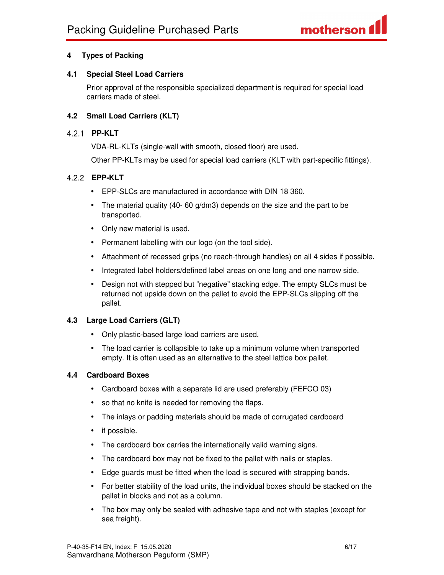#### **4 Types of Packing**

#### **4.1 Special Steel Load Carriers**

Prior approval of the responsible specialized department is required for special load carriers made of steel.

#### **4.2 Small Load Carriers (KLT)**

#### **PP-KLT**

VDA-RL-KLTs (single-wall with smooth, closed floor) are used.

Other PP-KLTs may be used for special load carriers (KLT with part-specific fittings).

#### **EPP-KLT**

- EPP-SLCs are manufactured in accordance with DIN 18 360.
- The material quality (40- 60 g/dm3) depends on the size and the part to be transported.
- Only new material is used.
- Permanent labelling with our logo (on the tool side).
- Attachment of recessed grips (no reach-through handles) on all 4 sides if possible.
- Integrated label holders/defined label areas on one long and one narrow side.
- Design not with stepped but "negative" stacking edge. The empty SLCs must be returned not upside down on the pallet to avoid the EPP-SLCs slipping off the pallet.

#### **4.3 Large Load Carriers (GLT)**

- Only plastic-based large load carriers are used.
- The load carrier is collapsible to take up a minimum volume when transported empty. It is often used as an alternative to the steel lattice box pallet.

#### **4.4 Cardboard Boxes**

- Cardboard boxes with a separate lid are used preferably (FEFCO 03)
- so that no knife is needed for removing the flaps.
- The inlays or padding materials should be made of corrugated cardboard
- if possible.
- The cardboard box carries the internationally valid warning signs.
- The cardboard box may not be fixed to the pallet with nails or staples.
- Edge guards must be fitted when the load is secured with strapping bands.
- For better stability of the load units, the individual boxes should be stacked on the pallet in blocks and not as a column.
- The box may only be sealed with adhesive tape and not with staples (except for sea freight).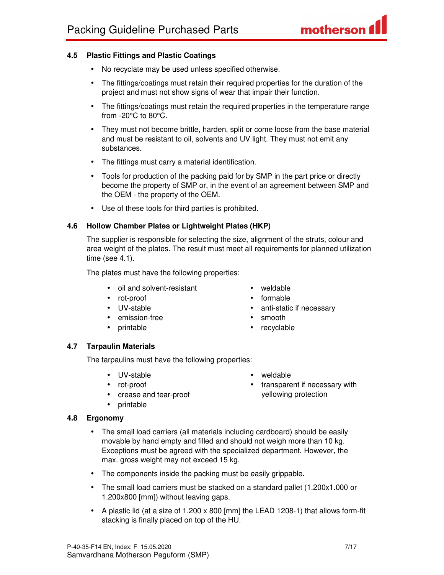#### **4.5 Plastic Fittings and Plastic Coatings**

- No recyclate may be used unless specified otherwise.
- The fittings/coatings must retain their required properties for the duration of the project and must not show signs of wear that impair their function.
- The fittings/coatings must retain the required properties in the temperature range from -20°C to 80°C.
- They must not become brittle, harden, split or come loose from the base material and must be resistant to oil, solvents and UV light. They must not emit any substances.
- The fittings must carry a material identification.
- Tools for production of the packing paid for by SMP in the part price or directly become the property of SMP or, in the event of an agreement between SMP and the OEM - the property of the OEM.
- Use of these tools for third parties is prohibited.

#### **4.6 Hollow Chamber Plates or Lightweight Plates (HKP)**

The supplier is responsible for selecting the size, alignment of the struts, colour and area weight of the plates. The result must meet all requirements for planned utilization time (see 4.1).

The plates must have the following properties:

- oil and solvent-resistant
- rot-proof
- UV-stable
- emission-free
- printable
- weldable
- formable
- anti-static if necessary
- smooth
- recyclable

#### **4.7 Tarpaulin Materials**

The tarpaulins must have the following properties:

- UV-stable
- rot-proof
- crease and tear-proof
- printable

#### **4.8 Ergonomy**

- The small load carriers (all materials including cardboard) should be easily movable by hand empty and filled and should not weigh more than 10 kg. Exceptions must be agreed with the specialized department. However, the max. gross weight may not exceed 15 kg.
- The components inside the packing must be easily grippable.
- The small load carriers must be stacked on a standard pallet (1.200x1.000 or 1.200x800 [mm]) without leaving gaps.
- A plastic lid (at a size of 1.200 x 800 [mm] the LEAD 1208-1) that allows form-fit stacking is finally placed on top of the HU.

• weldable • transparent if necessary with yellowing protection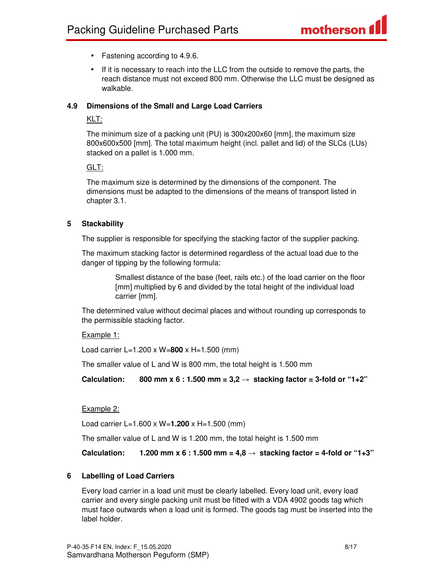- Fastening according to 4.9.6.
- If it is necessary to reach into the LLC from the outside to remove the parts, the reach distance must not exceed 800 mm. Otherwise the LLC must be designed as walkable.

#### **4.9 Dimensions of the Small and Large Load Carriers**

#### KLT:

The minimum size of a packing unit (PU) is 300x200x60 [mm], the maximum size 800x600x500 [mm]. The total maximum height (incl. pallet and lid) of the SLCs (LUs) stacked on a pallet is 1.000 mm.

#### GLT:

The maximum size is determined by the dimensions of the component. The dimensions must be adapted to the dimensions of the means of transport listed in chapter 3.1.

#### **5 Stackability**

The supplier is responsible for specifying the stacking factor of the supplier packing.

The maximum stacking factor is determined regardless of the actual load due to the danger of tipping by the following formula:

> Smallest distance of the base (feet, rails etc.) of the load carrier on the floor [mm] multiplied by 6 and divided by the total height of the individual load carrier [mm].

The determined value without decimal places and without rounding up corresponds to the permissible stacking factor.

#### Example 1:

Load carrier L=1.200 x W=**800** x H=1.500 (mm)

The smaller value of L and W is 800 mm, the total height is 1.500 mm

Calculation: 800 mm x 6 : 1.500 mm =  $3,2 \rightarrow$  stacking factor = 3-fold or "1+2"

#### Example 2:

Load carrier L=1.600 x W=**1.200** x H=1.500 (mm)

The smaller value of L and W is 1.200 mm, the total height is 1.500 mm

**Calculation:** 1.200 mm x 6 : 1.500 mm =  $4.8 \rightarrow$  stacking factor = 4-fold or "1+3"

#### **6 Labelling of Load Carriers**

Every load carrier in a load unit must be clearly labelled. Every load unit, every load carrier and every single packing unit must be fitted with a VDA 4902 goods tag which must face outwards when a load unit is formed. The goods tag must be inserted into the label holder.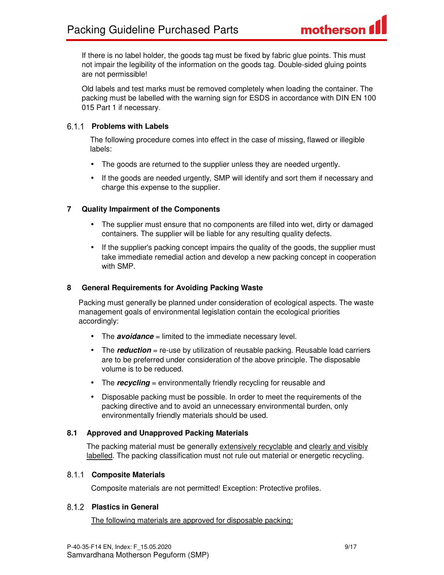If there is no label holder, the goods tag must be fixed by fabric glue points. This must not impair the legibility of the information on the goods tag. Double-sided gluing points are not permissible!

Old labels and test marks must be removed completely when loading the container. The packing must be labelled with the warning sign for ESDS in accordance with DIN EN 100 015 Part 1 if necessary.

#### **Problems with Labels**

The following procedure comes into effect in the case of missing, flawed or illegible labels:

- The goods are returned to the supplier unless they are needed urgently.
- If the goods are needed urgently, SMP will identify and sort them if necessary and charge this expense to the supplier.

#### **7 Quality Impairment of the Components**

- The supplier must ensure that no components are filled into wet, dirty or damaged containers. The supplier will be liable for any resulting quality defects.
- If the supplier's packing concept impairs the quality of the goods, the supplier must take immediate remedial action and develop a new packing concept in cooperation with SMP.

#### **8 General Requirements for Avoiding Packing Waste**

Packing must generally be planned under consideration of ecological aspects. The waste management goals of environmental legislation contain the ecological priorities accordingly:

- The **avoidance** = limited to the immediate necessary level.
- The **reduction** = re-use by utilization of reusable packing. Reusable load carriers are to be preferred under consideration of the above principle. The disposable volume is to be reduced.
- The **recycling** = environmentally friendly recycling for reusable and
- Disposable packing must be possible. In order to meet the requirements of the packing directive and to avoid an unnecessary environmental burden, only environmentally friendly materials should be used.

#### **8.1 Approved and Unapproved Packing Materials**

The packing material must be generally extensively recyclable and clearly and visibly labelled. The packing classification must not rule out material or energetic recycling.

#### **Composite Materials**

Composite materials are not permitted! Exception: Protective profiles.

#### **Plastics in General**

The following materials are approved for disposable packing: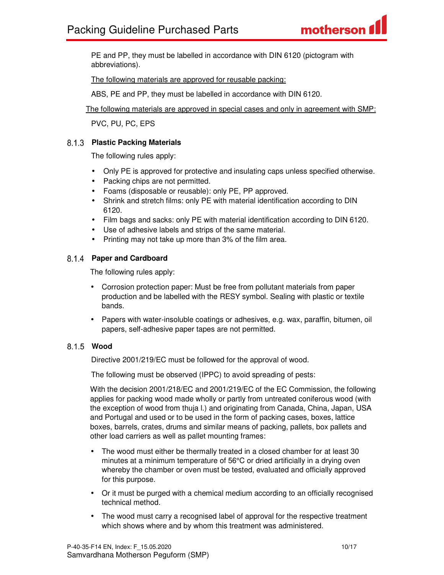PE and PP, they must be labelled in accordance with DIN 6120 (pictogram with abbreviations).

The following materials are approved for reusable packing:

ABS, PE and PP, they must be labelled in accordance with DIN 6120.

The following materials are approved in special cases and only in agreement with SMP:

PVC, PU, PC, EPS

#### **Plastic Packing Materials**

The following rules apply:

- Only PE is approved for protective and insulating caps unless specified otherwise.
- Packing chips are not permitted.
- Foams (disposable or reusable): only PE, PP approved.
- Shrink and stretch films: only PE with material identification according to DIN 6120.
- Film bags and sacks: only PE with material identification according to DIN 6120.
- Use of adhesive labels and strips of the same material.
- Printing may not take up more than 3% of the film area.

#### **Paper and Cardboard**

The following rules apply:

- Corrosion protection paper: Must be free from pollutant materials from paper production and be labelled with the RESY symbol. Sealing with plastic or textile bands.
- Papers with water-insoluble coatings or adhesives, e.g. wax, paraffin, bitumen, oil papers, self-adhesive paper tapes are not permitted.

#### **Wood**

Directive 2001/219/EC must be followed for the approval of wood.

The following must be observed (IPPC) to avoid spreading of pests:

With the decision 2001/218/EC and 2001/219/EC of the EC Commission, the following applies for packing wood made wholly or partly from untreated coniferous wood (with the exception of wood from thuja l.) and originating from Canada, China, Japan, USA and Portugal and used or to be used in the form of packing cases, boxes, lattice boxes, barrels, crates, drums and similar means of packing, pallets, box pallets and other load carriers as well as pallet mounting frames:

- The wood must either be thermally treated in a closed chamber for at least 30 minutes at a minimum temperature of 56°C or dried artificially in a drying oven whereby the chamber or oven must be tested, evaluated and officially approved for this purpose.
- Or it must be purged with a chemical medium according to an officially recognised technical method.
- The wood must carry a recognised label of approval for the respective treatment which shows where and by whom this treatment was administered.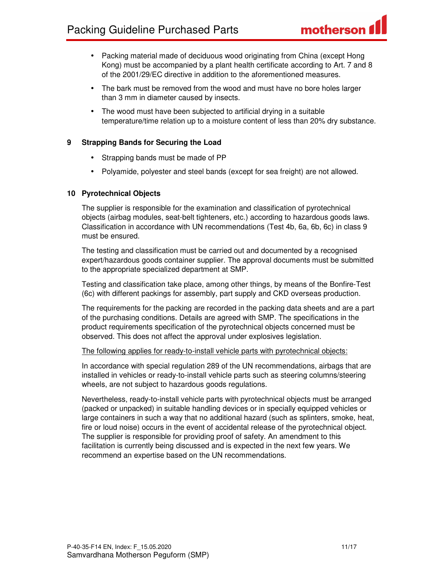- Packing material made of deciduous wood originating from China (except Hong Kong) must be accompanied by a plant health certificate according to Art. 7 and 8 of the 2001/29/EC directive in addition to the aforementioned measures.
- The bark must be removed from the wood and must have no bore holes larger than 3 mm in diameter caused by insects.
- The wood must have been subjected to artificial drying in a suitable temperature/time relation up to a moisture content of less than 20% dry substance.

#### **9 Strapping Bands for Securing the Load**

- Strapping bands must be made of PP
- Polyamide, polyester and steel bands (except for sea freight) are not allowed.

#### **10 Pyrotechnical Objects**

The supplier is responsible for the examination and classification of pyrotechnical objects (airbag modules, seat-belt tighteners, etc.) according to hazardous goods laws. Classification in accordance with UN recommendations (Test 4b, 6a, 6b, 6c) in class 9 must be ensured.

The testing and classification must be carried out and documented by a recognised expert/hazardous goods container supplier. The approval documents must be submitted to the appropriate specialized department at SMP.

Testing and classification take place, among other things, by means of the Bonfire-Test (6c) with different packings for assembly, part supply and CKD overseas production.

The requirements for the packing are recorded in the packing data sheets and are a part of the purchasing conditions. Details are agreed with SMP. The specifications in the product requirements specification of the pyrotechnical objects concerned must be observed. This does not affect the approval under explosives legislation.

#### The following applies for ready-to-install vehicle parts with pyrotechnical objects:

In accordance with special regulation 289 of the UN recommendations, airbags that are installed in vehicles or ready-to-install vehicle parts such as steering columns/steering wheels, are not subject to hazardous goods regulations.

Nevertheless, ready-to-install vehicle parts with pyrotechnical objects must be arranged (packed or unpacked) in suitable handling devices or in specially equipped vehicles or large containers in such a way that no additional hazard (such as splinters, smoke, heat, fire or loud noise) occurs in the event of accidental release of the pyrotechnical object. The supplier is responsible for providing proof of safety. An amendment to this facilitation is currently being discussed and is expected in the next few years. We recommend an expertise based on the UN recommendations.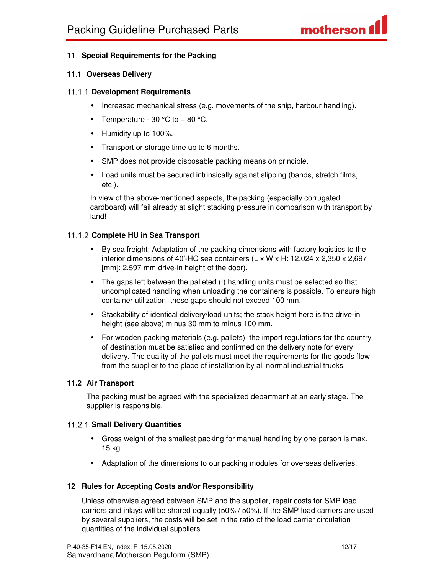#### **11 Special Requirements for the Packing**

#### **11.1 Overseas Delivery**

#### **Development Requirements**

- Increased mechanical stress (e.g. movements of the ship, harbour handling).
- Temperature  $30^{\circ}$ C to +  $80^{\circ}$ C.
- Humidity up to 100%.
- Transport or storage time up to 6 months.
- SMP does not provide disposable packing means on principle.
- Load units must be secured intrinsically against slipping (bands, stretch films, etc.).

In view of the above-mentioned aspects, the packing (especially corrugated cardboard) will fail already at slight stacking pressure in comparison with transport by land!

#### **Complete HU in Sea Transport**

- By sea freight: Adaptation of the packing dimensions with factory logistics to the interior dimensions of 40'-HC sea containers (L x W x H: 12,024 x 2,350 x 2,697 [mm]; 2,597 mm drive-in height of the door).
- The gaps left between the palleted (!) handling units must be selected so that uncomplicated handling when unloading the containers is possible. To ensure high container utilization, these gaps should not exceed 100 mm.
- Stackability of identical delivery/load units; the stack height here is the drive-in height (see above) minus 30 mm to minus 100 mm.
- For wooden packing materials (e.g. pallets), the import regulations for the country of destination must be satisfied and confirmed on the delivery note for every delivery. The quality of the pallets must meet the requirements for the goods flow from the supplier to the place of installation by all normal industrial trucks.

#### **11.2 Air Transport**

The packing must be agreed with the specialized department at an early stage. The supplier is responsible.

#### **Small Delivery Quantities**

- Gross weight of the smallest packing for manual handling by one person is max. 15 kg.
- Adaptation of the dimensions to our packing modules for overseas deliveries.

#### **12 Rules for Accepting Costs and/or Responsibility**

Unless otherwise agreed between SMP and the supplier, repair costs for SMP load carriers and inlays will be shared equally (50% / 50%). If the SMP load carriers are used by several suppliers, the costs will be set in the ratio of the load carrier circulation quantities of the individual suppliers.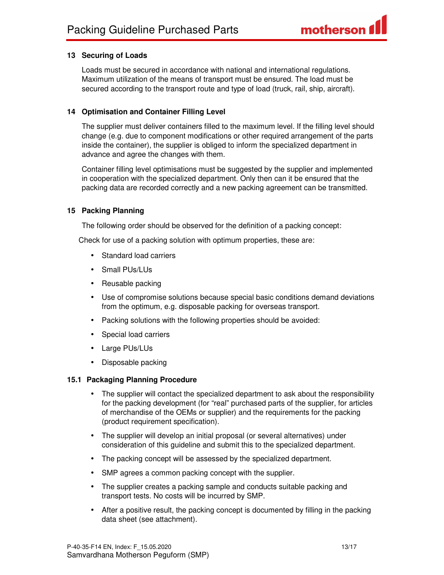#### **13 Securing of Loads**

Loads must be secured in accordance with national and international regulations. Maximum utilization of the means of transport must be ensured. The load must be secured according to the transport route and type of load (truck, rail, ship, aircraft).

#### **14 Optimisation and Container Filling Level**

The supplier must deliver containers filled to the maximum level. If the filling level should change (e.g. due to component modifications or other required arrangement of the parts inside the container), the supplier is obliged to inform the specialized department in advance and agree the changes with them.

Container filling level optimisations must be suggested by the supplier and implemented in cooperation with the specialized department. Only then can it be ensured that the packing data are recorded correctly and a new packing agreement can be transmitted.

#### **15 Packing Planning**

The following order should be observed for the definition of a packing concept:

Check for use of a packing solution with optimum properties, these are:

- Standard load carriers
- Small PUs/LUs
- Reusable packing
- Use of compromise solutions because special basic conditions demand deviations from the optimum, e.g. disposable packing for overseas transport.
- Packing solutions with the following properties should be avoided:
- Special load carriers
- Large PUs/LUs
- Disposable packing

#### **15.1 Packaging Planning Procedure**

- The supplier will contact the specialized department to ask about the responsibility for the packing development (for "real" purchased parts of the supplier, for articles of merchandise of the OEMs or supplier) and the requirements for the packing (product requirement specification).
- The supplier will develop an initial proposal (or several alternatives) under consideration of this guideline and submit this to the specialized department.
- The packing concept will be assessed by the specialized department.
- SMP agrees a common packing concept with the supplier.
- The supplier creates a packing sample and conducts suitable packing and transport tests. No costs will be incurred by SMP.
- After a positive result, the packing concept is documented by filling in the packing data sheet (see attachment).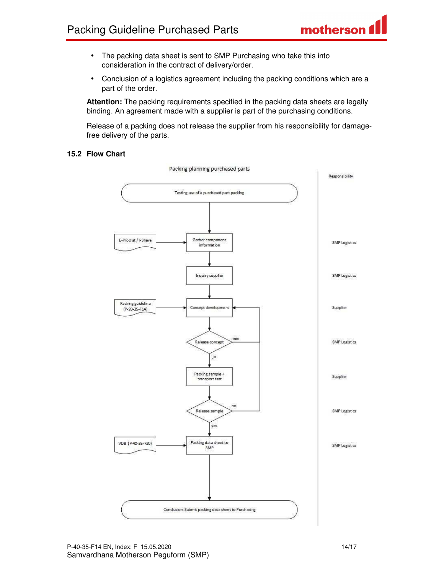- The packing data sheet is sent to SMP Purchasing who take this into consideration in the contract of delivery/order.
- Conclusion of a logistics agreement including the packing conditions which are a part of the order.

**Attention:** The packing requirements specified in the packing data sheets are legally binding. An agreement made with a supplier is part of the purchasing conditions.

Release of a packing does not release the supplier from his responsibility for damagefree delivery of the parts.

#### **15.2 Flow Chart**

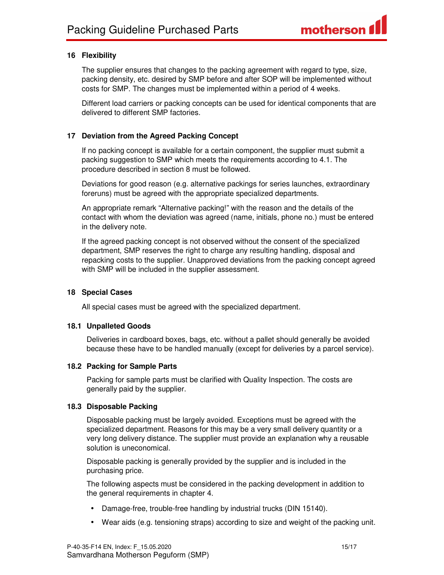#### **16 Flexibility**

The supplier ensures that changes to the packing agreement with regard to type, size, packing density, etc. desired by SMP before and after SOP will be implemented without costs for SMP. The changes must be implemented within a period of 4 weeks.

Different load carriers or packing concepts can be used for identical components that are delivered to different SMP factories.

#### **17 Deviation from the Agreed Packing Concept**

If no packing concept is available for a certain component, the supplier must submit a packing suggestion to SMP which meets the requirements according to 4.1. The procedure described in section 8 must be followed.

Deviations for good reason (e.g. alternative packings for series launches, extraordinary foreruns) must be agreed with the appropriate specialized departments.

An appropriate remark "Alternative packing!" with the reason and the details of the contact with whom the deviation was agreed (name, initials, phone no.) must be entered in the delivery note.

If the agreed packing concept is not observed without the consent of the specialized department, SMP reserves the right to charge any resulting handling, disposal and repacking costs to the supplier. Unapproved deviations from the packing concept agreed with SMP will be included in the supplier assessment.

#### **18 Special Cases**

All special cases must be agreed with the specialized department.

#### **18.1 Unpalleted Goods**

Deliveries in cardboard boxes, bags, etc. without a pallet should generally be avoided because these have to be handled manually (except for deliveries by a parcel service).

#### **18.2 Packing for Sample Parts**

Packing for sample parts must be clarified with Quality Inspection. The costs are generally paid by the supplier.

#### **18.3 Disposable Packing**

Disposable packing must be largely avoided. Exceptions must be agreed with the specialized department. Reasons for this may be a very small delivery quantity or a very long delivery distance. The supplier must provide an explanation why a reusable solution is uneconomical.

Disposable packing is generally provided by the supplier and is included in the purchasing price.

The following aspects must be considered in the packing development in addition to the general requirements in chapter 4.

- Damage-free, trouble-free handling by industrial trucks (DIN 15140).
- Wear aids (e.g. tensioning straps) according to size and weight of the packing unit.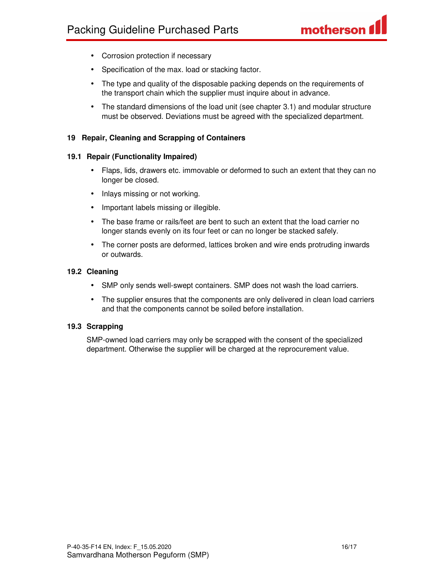- Corrosion protection if necessary
- Specification of the max. load or stacking factor.
- The type and quality of the disposable packing depends on the requirements of the transport chain which the supplier must inquire about in advance.
- The standard dimensions of the load unit (see chapter 3.1) and modular structure must be observed. Deviations must be agreed with the specialized department.

#### **19 Repair, Cleaning and Scrapping of Containers**

#### **19.1 Repair (Functionality Impaired)**

- Flaps, lids, drawers etc. immovable or deformed to such an extent that they can no longer be closed.
- Inlays missing or not working.
- Important labels missing or illegible.
- The base frame or rails/feet are bent to such an extent that the load carrier no longer stands evenly on its four feet or can no longer be stacked safely.
- The corner posts are deformed, lattices broken and wire ends protruding inwards or outwards.

#### **19.2 Cleaning**

- SMP only sends well-swept containers. SMP does not wash the load carriers.
- The supplier ensures that the components are only delivered in clean load carriers and that the components cannot be soiled before installation.

#### **19.3 Scrapping**

SMP-owned load carriers may only be scrapped with the consent of the specialized department. Otherwise the supplier will be charged at the reprocurement value.